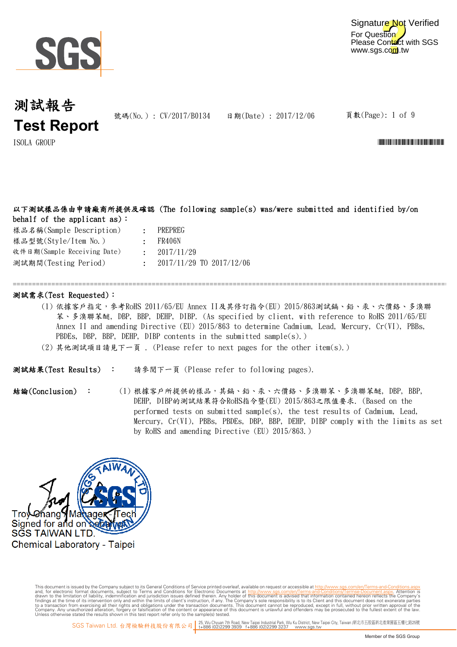

For Question Please Contact with SGS www.sgs.com.tw Signature Not Verified

## 測試報告 **Test Report**

號碼(No.): CV/2017/B0134 日期(Date): 2017/12/06

=============================================================================================================================

頁數(Page): 1 of 9

ISOLA GROUP \*CV/2017/B0134\*

### 以下測試樣品係由申請廠商所提供及確認 (The following sample(s) was/were submitted and identified by/on behalf of the applicant as):

| 樣品名稱(Sample Description)    |  |  |  |  |  |
|-----------------------------|--|--|--|--|--|
| 樣品型號(Style/Item No.)        |  |  |  |  |  |
| 收件日期(Sample Receiving Date) |  |  |  |  |  |
| 測試期間(Testing Period)        |  |  |  |  |  |

- : PREPREG
- : FR406N
- : 2017/11/29
	- : 2017/11/29 TO 2017/12/06

#### 測試需求(Test Requested):

- (1) 依據客戶指定,參考RoHS 2011/65/EU Annex II及其修訂指令(EU) 2015/863測試鎘、鉛、汞、六價鉻、多溴聯 苯、多溴聯苯醚, DBP, BBP, DEHP, DIBP. (As specified by client, with reference to RoHS 2011/65/EU Annex II and amending Directive (EU) 2015/863 to determine Cadmium, Lead, Mercury, Cr(VI), PBBs, PBDEs, DBP, BBP, DEHP, DIBP contents in the submitted sample(s).)
- (2) 其他測試項目請見下一頁 . (Please refer to next pages for the other item(s).)

請參閱下一頁 (Please refer to following pages). 測試結果(Test Results) :

(1) 根據客戶所提供的樣品,其鎘、鉛、汞、六價鉻、多溴聯苯、多溴聯苯醚, DBP, BBP, DEHP, DIBP的測試結果符合RoHS指令暨(EU) 2015/863之限值要求. (Based on the performed tests on submitted sample(s), the test results of Cadmium, Lead, Mercury, Cr(VI), PBBs, PBDEs, DBP, BBP, DEHP, DIBP comply with the limits as set by RoHS and amending Directive (EU) 2015/863.) 結論(Conclusion) :

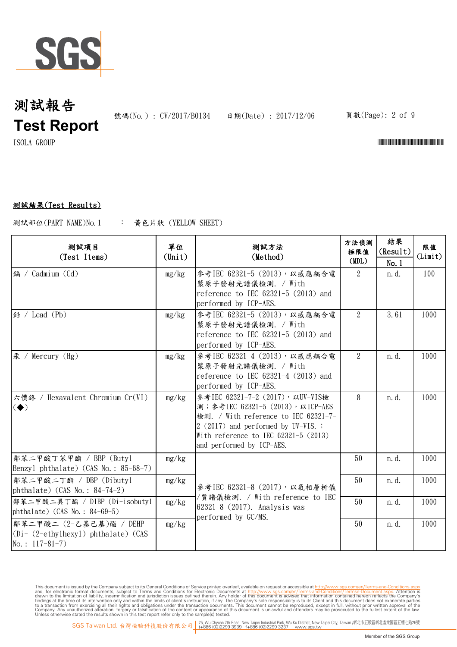

號碼(No.): CV/2017/B0134 日期(Date): 2017/12/06 頁數(Page): 2 of 9

 $\rm{ISOLA-}\$  GROUP  $\rm{CIV-}\$ 

### 測試結果(Test Results)

: 黃色片狀 (YELLOW SHEET) 測試部位(PART NAME)No.1

| 测試項目<br>(Test Items)                                                                          | 單位<br>$(\text{Unit})$ | 测試方法<br>(Method)                                                                                                                                                                                                            | 方法偵測<br>極限值<br>(MDL) | 結果<br>(Result)<br>No.1 | 限值<br>(Limit) |
|-----------------------------------------------------------------------------------------------|-----------------------|-----------------------------------------------------------------------------------------------------------------------------------------------------------------------------------------------------------------------------|----------------------|------------------------|---------------|
| 鎘 / Cadmium (Cd)                                                                              | mg/kg                 | 參考IEC 62321-5 (2013), 以感應耦合電<br>漿原子發射光譜儀檢測. / With<br>reference to IEC 62321-5 (2013) and<br>performed by ICP-AES.                                                                                                          | 2                    | n. d.                  | 100           |
| 鉛 / Lead (Pb)                                                                                 | mg/kg                 | 參考IEC 62321-5 (2013), 以感應耦合電<br>漿原子發射光譜儀檢測. / With<br>reference to IEC $62321-5$ (2013) and<br>performed by ICP-AES.                                                                                                        | $\overline{2}$       | 3.61                   | 1000          |
| 汞 / Mercury (Hg)                                                                              | mg/kg                 | 參考IEC 62321-4 (2013), 以感應耦合電<br>漿原子發射光譜儀檢測. / With<br>reference to IEC $62321-4$ $(2013)$ and<br>performed by ICP-AES.                                                                                                      | $\overline{2}$       | n. d.                  | 1000          |
| 六價鉻 / Hexavalent Chromium Cr(VI)<br>$\left( \blacklozenge \right)$                            | mg/kg                 | 參考IEC 62321-7-2 (2017), 以UV-VIS檢<br>測; 参考IEC 62321-5 (2013), 以ICP-AES<br>檢測. / With reference to IEC 62321-7-<br>2 (2017) and performed by UV-VIS. ;<br>With reference to IEC $62321-5$ (2013)<br>and performed by ICP-AES. | 8                    | n.d.                   | 1000          |
| 鄰苯二甲酸丁苯甲酯 / BBP (Butyl<br>Benzyl phthalate) (CAS No.: 85-68-7)                                | mg/kg                 | 參考IEC 62321-8 (2017), 以氣相層析儀<br>/質譜儀檢測. / With reference to IEC<br>62321-8 (2017). Analysis was<br>performed by GC/MS.                                                                                                      | 50                   | n. d.                  | 1000          |
| 鄰苯二甲酸二丁酯 / DBP (Dibuty1<br>phthalate) $(CAS No. : 84-74-2)$                                   | mg/kg                 |                                                                                                                                                                                                                             | 50                   | n. d.                  | 1000          |
| 鄰苯二甲酸二異丁酯 / DIBP (Di-isobutyl<br>phthalate) $(CAS No. : 84-69-5)$                             | mg/kg                 |                                                                                                                                                                                                                             | 50                   | n. d.                  | 1000          |
| 鄭苯二甲酸二 (2-乙基己基)酯 / DEHP<br>$(Di - (2-\text{ethylhexyl})$ phthalate) (CAS<br>No.: $117-81-7$ ) | mg/kg                 |                                                                                                                                                                                                                             | 50                   | n.d.                   | 1000          |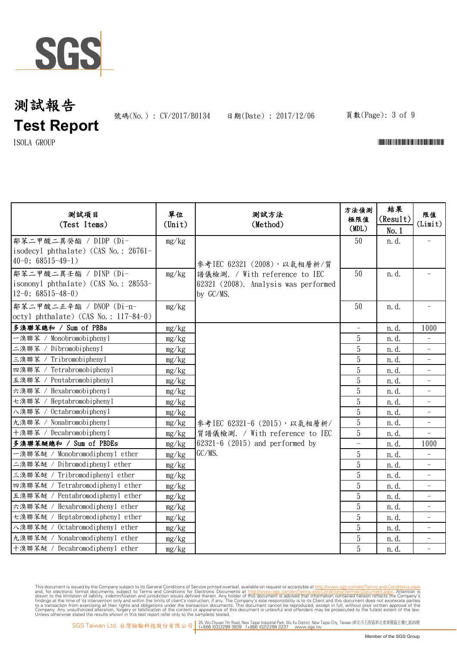

號碼(No.): CV/2017/B0134 日期(Date): 2017/12/06 頁數(Page): 3 of 9

 $\Gamma$ ISOLA GROUP  $\Gamma$ 

| 测試項目<br>(Test Items)                                                                  | 單位<br>$(\text{Unit})$ | 测試方法<br>(Method)                                                                                                  | 方法偵測<br>極限值<br>(MDL) | 結果<br>(Result)<br>No.1 | 限值<br>(Limit)            |
|---------------------------------------------------------------------------------------|-----------------------|-------------------------------------------------------------------------------------------------------------------|----------------------|------------------------|--------------------------|
| 鄰苯二甲酸二異癸酯 / DIDP (Di-<br>isodecyl phthalate) (CAS No.: 26761-<br>$40-0$ ; 68515-49-1) | mg/kg                 | 參考IEC 62321 (2008), 以氣相層析/質<br>譜儀檢測. / With reference to IEC<br>62321 (2008). Analysis was performed<br>by GC/MS. | 50                   | n.d.                   |                          |
| 鄰苯二甲酸二異壬酯 / DINP (Di-<br>isononyl phthalate) (CAS No.: 28553-<br>$12-0$ ; 68515-48-0) | mg/kg                 |                                                                                                                   | 50                   | n.d.                   |                          |
| 鄰苯二甲酸二正辛酯 / DNOP (Di-n-<br>$octyl$ phthalate) (CAS No.: 117-84-0)                     | mg/kg                 |                                                                                                                   | 50                   | n. d.                  |                          |
| 多溴聯苯總和 / Sum of PBBs                                                                  | mg/kg                 |                                                                                                                   |                      | n. d.                  | 1000                     |
| 一溴聯苯 / Monobromobiphenyl                                                              | mg/kg                 |                                                                                                                   | 5                    | n. d.                  |                          |
| 二溴聯苯 / Dibromobiphenyl                                                                | mg/kg                 |                                                                                                                   | 5                    | n.d.                   | $\overline{\phantom{0}}$ |
| $/$ Tribromobiphenyl<br>三溴聯苯                                                          | mg/kg                 |                                                                                                                   | 5                    | n. d.                  |                          |
| 四溴聯苯 / Tetrabromobiphenyl                                                             | mg/kg                 |                                                                                                                   | 5                    | n. d.                  |                          |
| 五溴聯苯<br>/ Pentabromobiphenyl                                                          | mg/kg                 |                                                                                                                   | 5                    | n.d.                   |                          |
| Hexabromobiphenyl<br>六溴聯苯                                                             | mg/kg                 |                                                                                                                   | $5\,$                | n. d.                  |                          |
| Heptabromobiphenyl<br>七溴聯苯 /                                                          | mg/kg                 |                                                                                                                   | $5\,$                | n.d.                   | $\qquad \qquad -$        |
| / Octabromobiphenyl<br>八溴聯苯                                                           | mg/kg                 |                                                                                                                   | $5\,$                | n. d.                  | $\overline{\phantom{0}}$ |
| 九溴聯苯 / Nonabromobipheny1                                                              | mg/kg                 | 參考IEC 62321-6 (2015), 以氣相層析/<br>質譜儀檢測. / With reference to IEC<br>$62321 - 6$ (2015) and performed by             | $\overline{5}$       | n.d.                   |                          |
| 十溴聯苯 / Decabromobiphenyl                                                              | mg/kg                 |                                                                                                                   | $\overline{5}$       | n. d.                  |                          |
| 多溴聯苯醚總和 / Sum of PBDEs                                                                | mg/kg                 |                                                                                                                   |                      | n. d.                  | 1000                     |
| 一溴聯苯醚 / Monobromodiphenyl ether                                                       | mg/kg                 | GC/MS.                                                                                                            | 5                    | n.d.                   | $\overline{\phantom{0}}$ |
| 二溴聯苯醚 / Dibromodiphenyl ether                                                         | mg/kg                 |                                                                                                                   | $\overline{5}$       | n. d.                  | $\overline{\phantom{0}}$ |
| 三溴聯苯醚 / Tribromodiphenyl ether                                                        | mg/kg                 |                                                                                                                   | 5                    | n. d.                  |                          |
| 四溴聯苯醚 / Tetrabromodiphenyl ether                                                      | mg/kg                 |                                                                                                                   | $\overline{5}$       | n. d.                  |                          |
| 五溴聯苯醚 / Pentabromodiphenyl ether                                                      | mg/kg                 |                                                                                                                   | $\overline{5}$       | n. d.                  | $\overline{\phantom{0}}$ |
| 六溴聯苯醚 /<br>Hexabromodiphenyl ether                                                    | mg/kg                 |                                                                                                                   | $\overline{5}$       | n. d.                  | $\overline{\phantom{0}}$ |
| 七溴聯苯醚 / Heptabromodiphenyl ether                                                      | mg/kg                 |                                                                                                                   | $5\,$                | n. d.                  | $\overline{\phantom{0}}$ |
| 八溴聯苯醚 / Octabromodiphenyl ether                                                       | mg/kg                 |                                                                                                                   | 5                    | n. d.                  |                          |
| Nonabromodiphenyl ether<br>九溴聯苯醚                                                      | mg/kg                 |                                                                                                                   | 5                    | n. d.                  |                          |
| 十溴聯苯醚 / Decabromodiphenyl ether                                                       | mg/kg                 |                                                                                                                   | 5                    | n.d.                   |                          |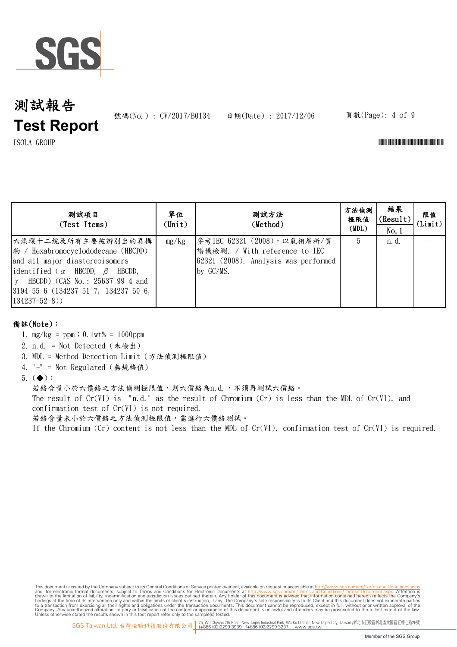

號碼(No.): CV/2017/B0134 日期(Date): 2017/12/06 頁數(Page): 4 of 9

ISOLA GROUP \*CV/2017/B0134\*

| 测試項目<br>(Test Items)                                                                                                                                                                                                                                                               | 單位<br>$(\text{Unit})$ | 測試方法<br>(Method)                                                                                                  | 方法偵測<br>極限值<br>(MDL) | 結果<br>(Result)<br>No.1 | 限值<br>(Limit) |
|------------------------------------------------------------------------------------------------------------------------------------------------------------------------------------------------------------------------------------------------------------------------------------|-----------------------|-------------------------------------------------------------------------------------------------------------------|----------------------|------------------------|---------------|
| 六溴環十二烷及所有主要被辨別出的異構<br>$\ket{\psi}$ / Hexabromocyclododecane (HBCDD)<br>and all major diastereoisomers<br>identified ( $\alpha$ - HBCDD, $\beta$ - HBCDD,<br>$\gamma$ – HBCDD) (CAS No.: 25637-99-4 and<br>$3194 - 55 - 6$ $(134237 - 51 - 7, 134237 - 50 - 6,$<br>$(134237-52-8))$ | mg/kg                 | 參考IEC 62321 (2008), 以氣相層析/質<br>譜儀檢測. / With reference to IEC<br>62321 (2008). Analysis was performed<br>by GC/MS. | 5                    | n. d.                  |               |

### 備註(Note):

1. mg/kg = ppm;0.1wt% = 1000ppm

2. n.d. = Not Detected (未檢出)

- 3. MDL = Method Detection Limit (方法偵測極限值)
- 4. "-" = Not Regulated (無規格值)
- 5.  $(\blacklozenge)$ :

若鉻含量小於六價鉻之方法偵測極限值,則六價鉻為n.d.,不須再測試六價鉻。

The result of  $Cr(VI)$  is "n.d." as the result of Chromium  $(Cr)$  is less than the MDL of  $Cr(VI)$ , and confirmation test of Cr(VI) is not required.

若鉻含量未小於六價鉻之方法偵測極限值,需進行六價鉻測試。

If the Chromium (Cr) content is not less than the MDL of Cr(VI), confirmation test of Cr(VI) is required.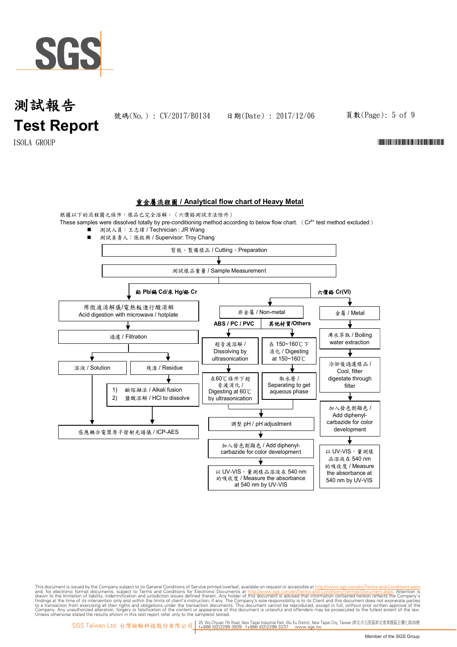

號碼(No.): CV/2017/B0134 日期(Date): 2017/12/06 頁數(Page): 5 of 9

ISOLA GROUP \*CV/2017/B0134\*

#### **重金屬流程圖 / Analytical flow chart of Heavy Metal**

根據以下的流程圖之條件,樣品已完全溶解。(六價鉻測試方法除外)

These samples were dissolved totally by pre-conditioning method according to below flow chart. (Cr<sup>6+</sup> test method excluded)

■ 測試人員:王志瑋 / Technician : JR Wang

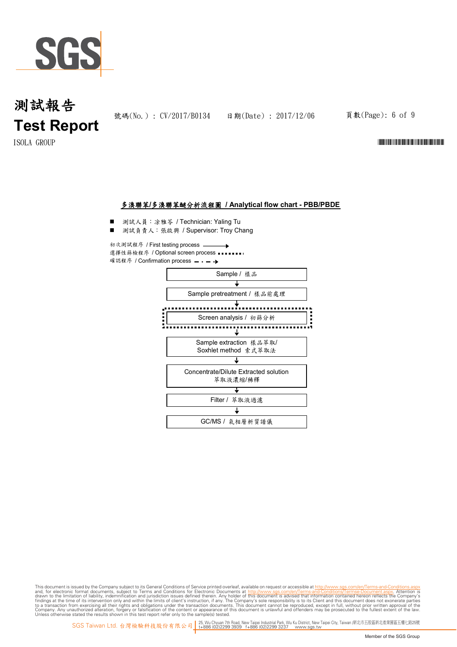

號碼(No.): CV/2017/B0134 日期(Date): 2017/12/06 頁數(Page): 6 of 9

 $\rm{ISOLA-}\$  GROUP  $\rm{CIV-}\$ 

#### 多溴聯苯**/**多溴聯苯醚分析流程圖 **/ Analytical flow chart - PBB/PBDE**

- 測試人員:涂雅苓 / Technician: Yaling Tu
- 測試負責人: 張啟興 / Supervisor: Troy Chang

初次測試程序 / First testing process  $\rightarrow$ 選擇性篩檢程序 / Optional screen process ••••••••• 確認程序 / Confirmation process = - - →

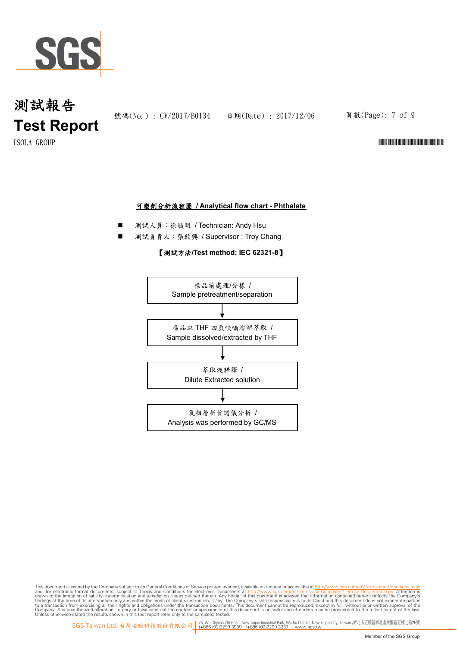

號碼(No.): CV/2017/B0134 日期(Date): 2017/12/06 頁數(Page): 7 of 9

 $\rm{ISOLA-}\$  GROUP  $\rm{CIV-}\$ 

#### 可塑劑分析流程圖 **/ Analytical flow chart - Phthalate**

- 測試人員:徐毓明 / Technician: Andy Hsu
- 測試負責人:張啟興 / Supervisor : Troy Chang

#### 【測試方法**/Test method: IEC 62321-8**】

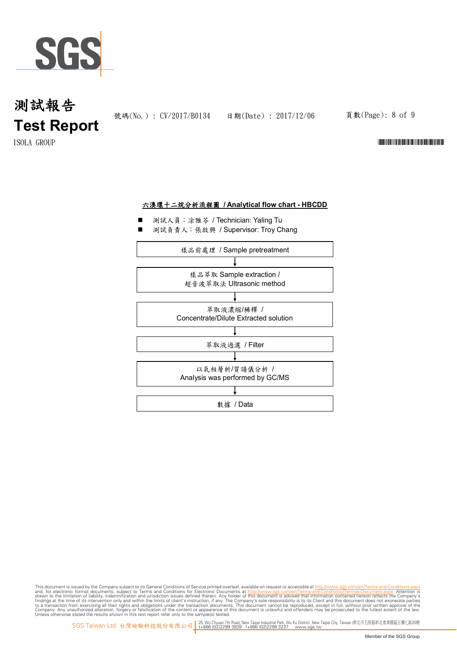

號碼(No.): CV/2017/B0134 日期(Date): 2017/12/06 頁數(Page): 8 of 9

 $\rm{ISOLA-}\$  GROUP  $\rm{CIV-}\$ 

#### 六溴環十二烷分析流程圖 **/ Analytical flow chart - HBCDD**

- 測試人員:凃雅苓 / Technician: Yaling Tu
- 測試負責人:張啟興 / Supervisor: Troy Chang